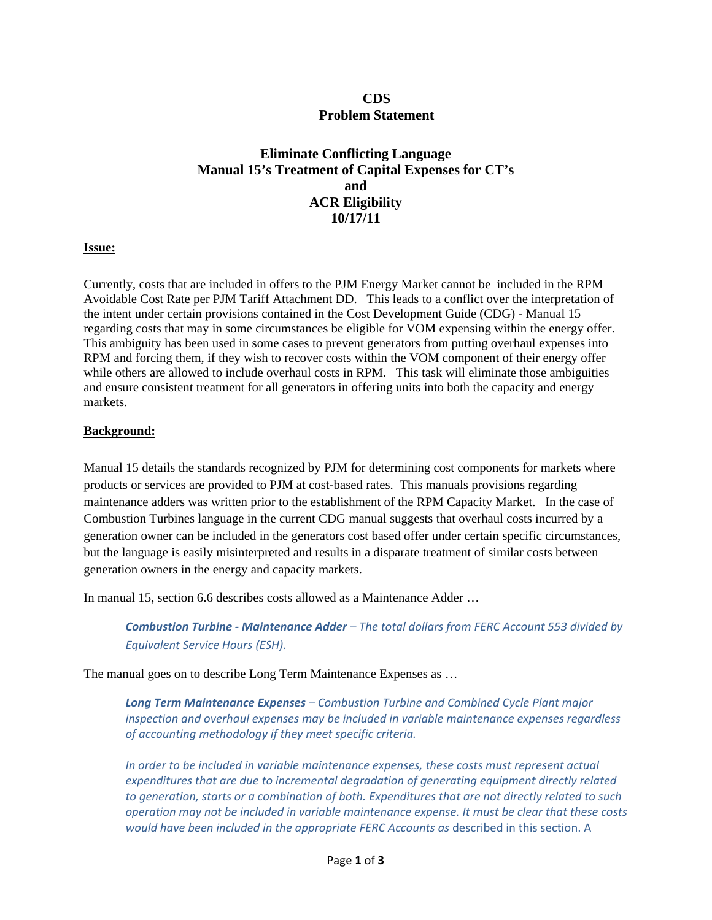## **CDS Problem Statement**

# **Eliminate Conflicting Language Manual 15's Treatment of Capital Expenses for CT's and ACR Eligibility 10/17/11**

#### **Issue:**

Currently, costs that are included in offers to the PJM Energy Market cannot be included in the RPM Avoidable Cost Rate per PJM Tariff Attachment DD. This leads to a conflict over the interpretation of the intent under certain provisions contained in the Cost Development Guide (CDG) - Manual 15 regarding costs that may in some circumstances be eligible for VOM expensing within the energy offer. This ambiguity has been used in some cases to prevent generators from putting overhaul expenses into RPM and forcing them, if they wish to recover costs within the VOM component of their energy offer while others are allowed to include overhaul costs in RPM. This task will eliminate those ambiguities and ensure consistent treatment for all generators in offering units into both the capacity and energy markets.

#### **Background:**

Manual 15 details the standards recognized by PJM for determining cost components for markets where products or services are provided to PJM at cost-based rates. This manuals provisions regarding maintenance adders was written prior to the establishment of the RPM Capacity Market. In the case of Combustion Turbines language in the current CDG manual suggests that overhaul costs incurred by a generation owner can be included in the generators cost based offer under certain specific circumstances, but the language is easily misinterpreted and results in a disparate treatment of similar costs between generation owners in the energy and capacity markets.

In manual 15, section 6.6 describes costs allowed as a Maintenance Adder …

*Combustion Turbine ‐ Maintenance Adder – The total dollars from FERC Account 553 divided by Equivalent Service Hours (ESH).*

The manual goes on to describe Long Term Maintenance Expenses as …

*Long Term Maintenance Expenses – Combustion Turbine and Combined Cycle Plant major inspection and overhaul expenses may be included in variable maintenance expenses regardless of accounting methodology if they meet specific criteria.* 

*In order to be included in variable maintenance expenses, these costs must represent actual expenditures that are due to incremental degradation of generating equipment directly related to generation, starts or a combination of both. Expenditures that are not directly related to such operation may not be included in variable maintenance expense. It must be clear that these costs would have been included in the appropriate FERC Accounts as* described in this section. A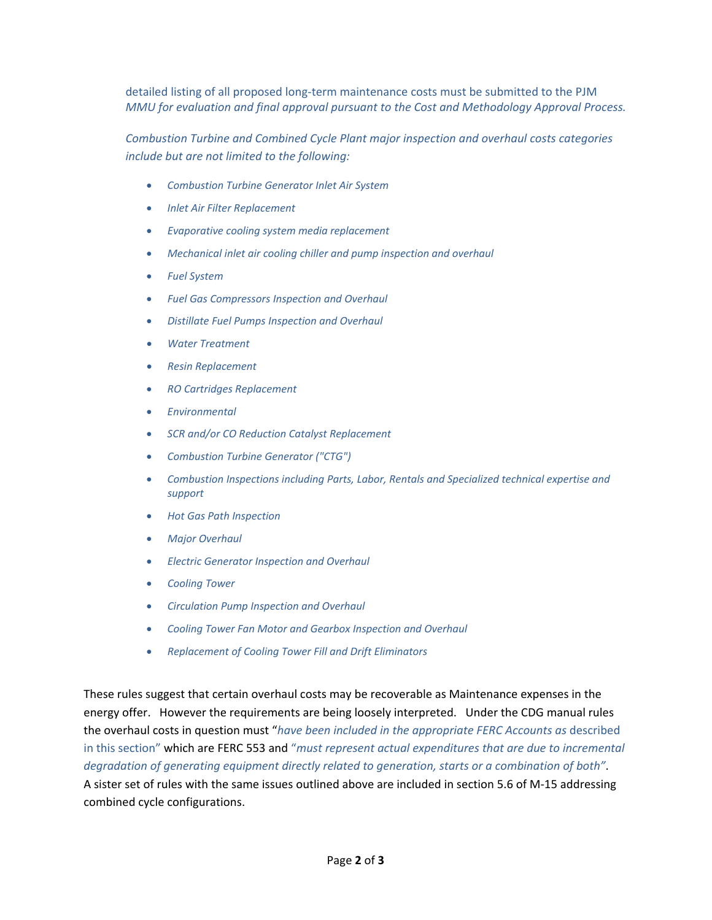detailed listing of all proposed long-term maintenance costs must be submitted to the PJM *MMU for evaluation and final approval pursuant to the Cost and Methodology Approval Process.* 

*Combustion Turbine and Combined Cycle Plant major inspection and overhaul costs categories include but are not limited to the following:*

- *Combustion Turbine Generator Inlet Air System*
- *Inlet Air Filter Replacement*
- *Evaporative cooling system media replacement*
- *Mechanical inlet air cooling chiller and pump inspection and overhaul*
- *Fuel System*
- *Fuel Gas Compressors Inspection and Overhaul*
- *Distillate Fuel Pumps Inspection and Overhaul*
- *Water Treatment*
- *Resin Replacement*
- *RO Cartridges Replacement*
- *Environmental*
- *SCR and/or CO Reduction Catalyst Replacement*
- *Combustion Turbine Generator ("CTG")*
- *Combustion Inspections including Parts, Labor, Rentals and Specialized technical expertise and support*
- *Hot Gas Path Inspection*
- *Major Overhaul*
- *Electric Generator Inspection and Overhaul*
- *Cooling Tower*
- *Circulation Pump Inspection and Overhaul*
- *Cooling Tower Fan Motor and Gearbox Inspection and Overhaul*
- *Replacement of Cooling Tower Fill and Drift Eliminators*

These rules suggest that certain overhaul costs may be recoverable as Maintenance expenses in the energy offer. However the requirements are being loosely interpreted. Under the CDG manual rules the overhaul costs in question must "*have been included in the appropriate FERC Accounts as* described in this section" which are FERC 553 and "*must represent actual expenditures that are due to incremental degradation of generating equipment directly related to generation, starts or a combination of both"*. A sister set of rules with the same issues outlined above are included in section 5.6 of M‐15 addressing combined cycle configurations.